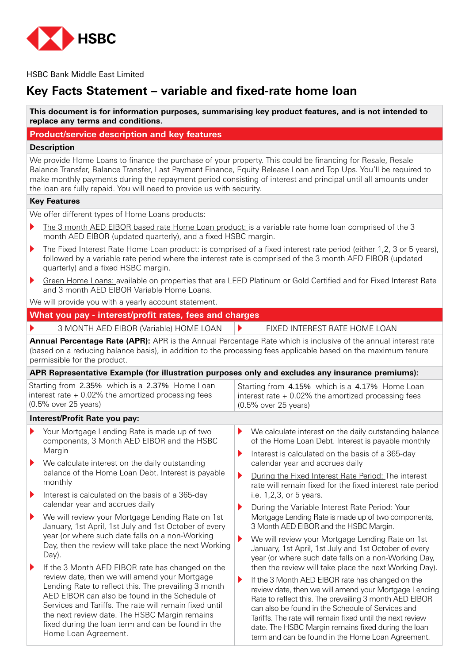

**HSBC Bank Middle East Limited** 

# **Key Facts Statement – variable and fixed-rate home loan**

This document is for information purposes, summarising key product features, and is not intended to replace any terms and conditions.

### **Product/service description and key features**

#### **Description**

We provide Home Loans to finance the purchase of your property. This could be financing for Resale, Resale Balance Transfer, Balance Transfer, Last Payment Finance, Equity Release Loan and Top Ups. You'll be required to make monthly payments during the repayment period consisting of interest and principal until all amounts under the loan are fully repaid. You will need to provide us with security.

#### **Key Features**

We offer different types of Home Loans products:

- $\triangleright$  The 3 month AED EIBOR based rate Home Loan product: is a variable rate home loan comprised of the 3 month AED EIBOR (updated quarterly), and a fixed HSBC margin.
- $\blacktriangleright$  The Fixed Interest Rate Home Loan product: is comprised of a fixed interest rate period (either 1,2, 3 or 5 years), followed by a variable rate period where the interest rate is comprised of the 3 month AED EIBOR (updated quarterly) and a fixed HSBC margin.
- Green Home Loans: available on properties that are LEED Platinum or Gold Certified and for Fixed Interest Rate and 3 month AED EIBOR Variable Home Loans.

We will provide you with a yearly account statement.

#### **What you pay - interest/profit rates, fees and charges**

3 MONTH AED EIBOR (Variable) HOME LOAN |▶ FIXED INTEREST RATE HOME LOAN

**Annual Percentage Rate (APR):** APR is the Annual Percentage Rate which is inclusive of the annual interest rate (based on a reducing balance basis), in addition to the processing fees applicable based on the maximum tenure permissible for the product.

#### **APR Representative Example (for illustration purposes only and excludes any insurance premiums):**

|                                                                                                                                    | המוזוחיוסיומים באשרות המוזוף היה המוזוחים המוזוחים המוזוחים המוזוחים המוזוחים המוזוחים המוזוחים המוזוחים הרו                                                                                                                                                                                                                                     |                                                                                                                                    |                                                                                                                                                                                                                                                                                                                                                                                                   |  |  |
|------------------------------------------------------------------------------------------------------------------------------------|--------------------------------------------------------------------------------------------------------------------------------------------------------------------------------------------------------------------------------------------------------------------------------------------------------------------------------------------------|------------------------------------------------------------------------------------------------------------------------------------|---------------------------------------------------------------------------------------------------------------------------------------------------------------------------------------------------------------------------------------------------------------------------------------------------------------------------------------------------------------------------------------------------|--|--|
| Starting from 2.35% which is a 2.37% Home Loan<br>interest rate $+$ 0.02% the amortized processing fees<br>$(0.5\%$ over 25 years) |                                                                                                                                                                                                                                                                                                                                                  | Starting from 4.15% which is a 4.17% Home Loan<br>interest rate $+$ 0.02% the amortized processing fees<br>$(0.5\%$ over 25 years) |                                                                                                                                                                                                                                                                                                                                                                                                   |  |  |
|                                                                                                                                    | Interest/Profit Rate you pay:                                                                                                                                                                                                                                                                                                                    |                                                                                                                                    |                                                                                                                                                                                                                                                                                                                                                                                                   |  |  |
| ▶                                                                                                                                  | Your Mortgage Lending Rate is made up of two<br>components, 3 Month AED EIBOR and the HSBC<br>Margin                                                                                                                                                                                                                                             | Þ.                                                                                                                                 | We calculate interest on the daily outstanding balance<br>of the Home Loan Debt. Interest is payable monthly                                                                                                                                                                                                                                                                                      |  |  |
| $\blacktriangleright$                                                                                                              | We calculate interest on the daily outstanding                                                                                                                                                                                                                                                                                                   | ▶                                                                                                                                  | Interest is calculated on the basis of a 365-day<br>calendar year and accrues daily                                                                                                                                                                                                                                                                                                               |  |  |
|                                                                                                                                    | balance of the Home Loan Debt. Interest is payable<br>monthly                                                                                                                                                                                                                                                                                    | ▶                                                                                                                                  | During the Fixed Interest Rate Period: The interest<br>rate will remain fixed for the fixed interest rate period                                                                                                                                                                                                                                                                                  |  |  |
| $\blacktriangleright$                                                                                                              | Interest is calculated on the basis of a 365-day                                                                                                                                                                                                                                                                                                 |                                                                                                                                    | i.e. $1,2,3$ , or 5 years.                                                                                                                                                                                                                                                                                                                                                                        |  |  |
| ▶                                                                                                                                  | calendar year and accrues daily<br>We will review your Mortgage Lending Rate on 1st<br>January, 1st April, 1st July and 1st October of every                                                                                                                                                                                                     | ▶                                                                                                                                  | During the Variable Interest Rate Period: Your<br>Mortgage Lending Rate is made up of two components,<br>3 Month AED EIBOR and the HSBC Margin.                                                                                                                                                                                                                                                   |  |  |
|                                                                                                                                    | year (or where such date falls on a non-Working<br>Day, then the review will take place the next Working<br>Day).                                                                                                                                                                                                                                | Þ                                                                                                                                  | We will review your Mortgage Lending Rate on 1st<br>January, 1st April, 1st July and 1st October of every<br>year (or where such date falls on a non-Working Day,                                                                                                                                                                                                                                 |  |  |
| $\blacktriangleright$                                                                                                              | If the 3 Month AED EIBOR rate has changed on the                                                                                                                                                                                                                                                                                                 |                                                                                                                                    | then the review will take place the next Working Day).                                                                                                                                                                                                                                                                                                                                            |  |  |
|                                                                                                                                    | review date, then we will amend your Mortgage<br>Lending Rate to reflect this. The prevailing 3 month<br>AED EIBOR can also be found in the Schedule of<br>Services and Tariffs. The rate will remain fixed until<br>the next review date. The HSBC Margin remains<br>fixed during the loan term and can be found in the<br>Home Loan Agreement. | ▶                                                                                                                                  | If the 3 Month AED EIBOR rate has changed on the<br>review date, then we will amend your Mortgage Lending<br>Rate to reflect this. The prevailing 3 month AED EIBOR<br>can also be found in the Schedule of Services and<br>Tariffs. The rate will remain fixed until the next review<br>date. The HSBC Margin remains fixed during the loan<br>term and can be found in the Home Loan Agreement. |  |  |
|                                                                                                                                    |                                                                                                                                                                                                                                                                                                                                                  |                                                                                                                                    |                                                                                                                                                                                                                                                                                                                                                                                                   |  |  |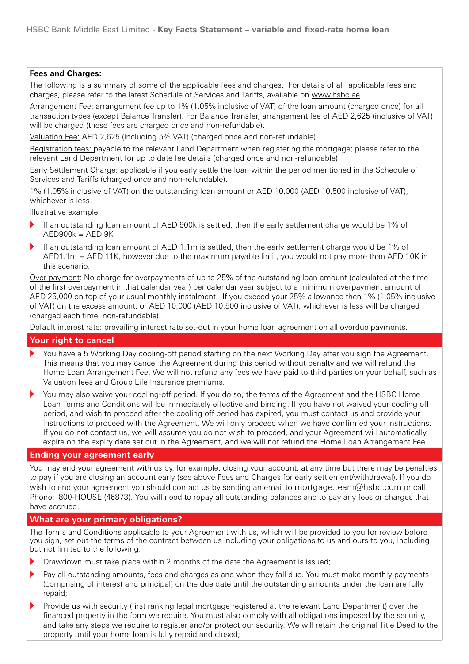#### **Fees and Charges:**

The following is a summary of some of the applicable fees and charges. For details of all applicable fees and charges, please refer to the latest Schedule of Services and Tariffs, available on www.hsbc.ae.

Arrangement Fee: arrangement fee up to 1% (1.05% inclusive of VAT) of the loan amount (charged once) for all transaction types (except Balance Transfer). For Balance Transfer, arrangement fee of AED 2,625 (inclusive of VAT) will be charged (these fees are charged once and non-refundable).

Valuation Fee: AED 2,625 (including 5% VAT) (charged once and non-refundable).

Registration fees: payable to the relevant Land Department when registering the mortgage; please refer to the relevant Land Department for up to date fee details (charged once and non-refundable).

Early Settlement Charge: applicable if you early settle the loan within the period mentioned in the Schedule of Services and Tariffs (charged once and non-refundable).

1% (1.05% inclusive of VAT) on the outstanding loan amount or AED 10,000 (AED 10,500 inclusive of VAT), whichever is less.

Illustrative example:

- If an outstanding loan amount of AED 900k is settled, then the early settlement charge would be 1% of  $AED900k = AED 9K$
- If an outstanding loan amount of AED 1.1 $m$  is settled, then the early settlement charge would be 1% of  $AED1.1m = AED 11K$ , however due to the maximum payable limit, you would not pay more than AED 10K in this scenario

Over payment: No charge for overpayments of up to 25% of the outstanding loan amount (calculated at the time of the first overpayment in that calendar year) per calendar year subject to a minimum overpayment amount of AED 25.000 on top of your usual monthly instalment. If you exceed your 25% allowance then 1% (1.05% inclusive of VAT) on the excess amount, or AED 10,000 (AED 10,500 inclusive of VAT), whichever is less will be charged (charged each time, non-refundable).

Default interest rate: prevailing interest rate set-out in your home loan agreement on all overdue payments.

### **Your right to cancel**

- You have a 5 Working Day cooling-off period starting on the next Working Day after you sign the Agreement. This means that you may cancel the Agreement during this period without penalty and we will refund the Home Loan Arrangement Fee. We will not refund any fees we have paid to third parties on your behalf, such as Valuation fees and Group Life Insurance premiums.
- You may also waive your cooling-off period. If you do so, the terms of the Agreement and the HSBC Home Loan Terms and Conditions will be immediately effective and binding. If you have not waived your cooling off period, and wish to proceed after the cooling off period has expired, you must contact us and provide your instructions to proceed with the Agreement. We will only proceed when we have confirmed your instructions. If you do not contact us, we will assume you do not wish to proceed, and your Agreement will automatically expire on the expiry date set out in the Agreement, and we will not refund the Home Loan Arrangement Fee.

#### **Ending your agreement early**

You may end your agreement with us by, for example, closing your account, at any time but there may be penalties to pay if you are closing an account early (see above Fees and Charges for early settlement/withdrawal). If you do wish to end your agreement you should contact us by sending an email to mortgage.team@hsbc.com or call Phone: 800-HOUSE (46873). You will need to repay all outstanding balances and to pay any fees or charges that have accrued.

#### **What are your primary obligations?**

The Terms and Conditions applicable to your Agreement with us, which will be provided to you for review before you sign, set out the terms of the contract between us including your obligations to us and ours to you, including but not limited to the following:

- Drawdown must take place within 2 months of the date the Agreement is issued;
- Pay all outstanding amounts, fees and charges as and when they fall due. You must make monthly payments (comprising of interest and principal) on the due date until the outstanding amounts under the loan are fully repaid:
- Provide us with security (first ranking legal mortgage registered at the relevant Land Department) over the financed property in the form we require. You must also comply with all obligations imposed by the security, and take any steps we require to register and/or protect our security. We will retain the original Title Deed to the property until your home loan is fully repaid and closed;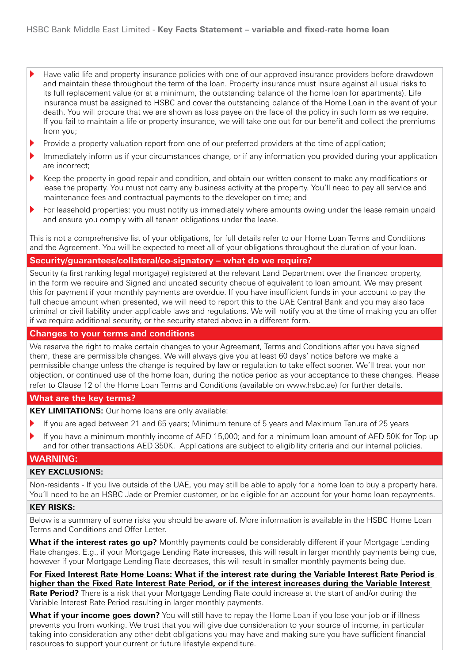- Have valid life and property insurance policies with one of our approved insurance providers before drawdown and maintain these throughout the term of the loan. Property insurance must insure against all usual risks to its full replacement value (or at a minimum, the outstanding balance of the home loan for apartments). Life insurance must be assigned to HSBC and cover the outstanding balance of the Home Loan in the event of vour death. You will procure that we are shown as loss payee on the face of the policy in such form as we require. If you fail to maintain a life or property insurance, we will take one out for our benefit and collect the premiums from you:
- Provide a property valuation report from one of our preferred providers at the time of application;
- Immediately inform us if your circumstances change, or if any information you provided during your application are incorrect;
- Keep the property in good repair and condition, and obtain our written consent to make any modifications or lease the property. You must not carry any business activity at the property. You'll need to pay all service and maintenance fees and contractual payments to the developer on time; and
- For leasehold properties: you must notify us immediately where amounts owing under the lease remain unpaid and ensure you comply with all tenant obligations under the lease.

This is not a comprehensive list of vour obligations, for full details refer to our Home Loan Terms and Conditions and the Agreement. You will be expected to meet all of vour obligations throughout the duration of vour loan.

#### **Security/guarantees/collateral/co-signatory – what do we require?**

Security (a first ranking legal mortgage) registered at the relevant Land Department over the financed property, in the form we require and Signed and undated security cheque of equivalent to loan amount. We may present this for payment if your monthly payments are overdue. If you have insufficient funds in your account to pay the full cheque amount when presented, we will need to report this to the UAE Central Bank and you may also face criminal or civil liability under applicable laws and regulations. We will notify you at the time of making you an offer if we require additional security, or the security stated above in a different form.

#### **Changes to your terms and conditions**

We reserve the right to make certain changes to your Agreement, Terms and Conditions after you have signed them, these are permissible changes. We will always give you at least 60 days' notice before we make a permissible change unless the change is required by law or regulation to take effect sooner. We'll treat your non objection, or continued use of the home loan, during the notice period as your acceptance to these changes. Please refer to Clause 12 of the Home Loan Terms and Conditions (available on www.hsbc.ae) for further details.

#### **What are the key terms?**

KEY LIMITATIONS: Our home loans are only available:

- If you are aged between 21 and 65 years; Minimum tenure of 5 years and Maximum Tenure of 25 years
- If you have a minimum monthly income of AED 15,000; and for a minimum loan amount of AED 50K for Top up and for other transactions AED 350K. Applications are subject to eligibility criteria and our internal policies.

#### **:WARNING**

#### **KEY EXCLUSIONS:**

Non-residents - If you live outside of the UAE, you may still be able to apply for a home loan to buy a property here. You'll need to be an HSBC Jade or Premier customer, or be eligible for an account for your home loan repayments.

#### **KFY RISKS:**

Below is a summary of some risks you should be aware of. More information is available in the HSBC Home Loan Terms and Conditions and Offer Letter.

**What if the interest rates go up?** Monthly payments could be considerably different if your Mortgage Lending Rate changes. E.g., if your Mortgage Lending Rate increases, this will result in larger monthly payments being due, however if vour Mortgage Lending Rate decreases, this will result in smaller monthly payments being due.

For Fixed Interest Rate Home Loans: What if the interest rate during the Variable Interest Rate Period is higher than the Fixed Rate Interest Rate Period, or if the interest increases during the Variable Interest **Rate Period?** There is a risk that your Mortgage Lending Rate could increase at the start of and/or during the Variable Interest Rate Period resulting in larger monthly payments.

**What if your income goes down?** You will still have to repay the Home Loan if you lose your job or if illness prevents you from working. We trust that you will give due consideration to your source of income, in particular taking into consideration any other debt obligations you may have and making sure you have sufficient financial resources to support your current or future lifestyle expenditure.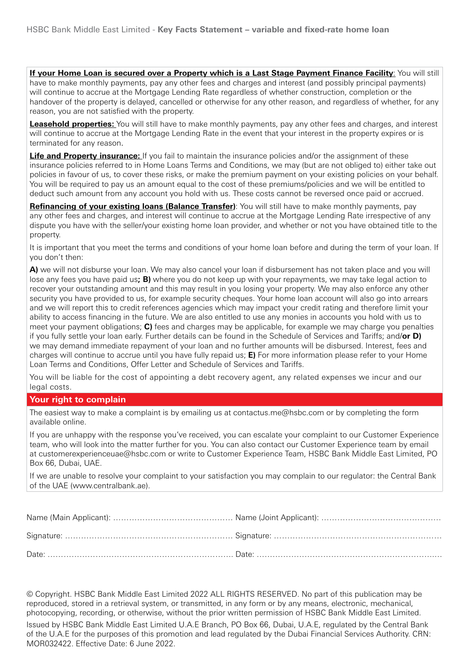If your Home Loan is secured over a Property which is a Last Stage Payment Finance Facility: You will still have to make monthly payments, pay any other fees and charges and interest (and possibly principal payments) will continue to accrue at the Mortgage Lending Rate regardless of whether construction, completion or the handover of the property is delayed, cancelled or otherwise for any other reason, and regardless of whether, for any reason, you are not satisfied with the property.

**Leasehold properties:** You will still have to make monthly payments, pay any other fees and charges, and interest will continue to accrue at the Mortgage Lending Rate in the event that your interest in the property expires or is terminated for any reason.

**Life and Property insurance:** If you fail to maintain the insurance policies and/or the assignment of these insurance policies referred to in Home Loans Terms and Conditions, we may (but are not obliged to) either take out policies in favour of us, to cover these risks, or make the premium payment on your existing policies on your behalf. You will be required to pay us an amount equal to the cost of these premiums/policies and we will be entitled to deduct such amount from any account you hold with us. These costs cannot be reversed once paid or accrued.

**Refinancing of your existing loans (Balance Transfer)**: You will still have to make monthly payments, pay any other fees and charges, and interest will continue to accrue at the Mortgage Lending Rate irrespective of any dispute you have with the seller/your existing home loan provider, and whether or not you have obtained title to the property.

It is important that you meet the terms and conditions of your home loan before and during the term of your loan. If you don't then:

A) we will not disburse your loan. We may also cancel your loan if disbursement has not taken place and you will lose any fees you have paid us; **B**) where you do not keep up with your repayments, we may take legal action to recover your outstanding amount and this may result in you losing your property. We may also enforce any other security you have provided to us, for example security cheques. Your home loan account will also go into arrears and we will report this to credit references agencies which may impact your credit rating and therefore limit your ability to access financing in the future. We are also entitled to use any monies in accounts you hold with us to meet your payment obligations; **C**) fees and charges may be applicable, for example we may charge you penalties **if you fully settle your loan early. Further details can be found in the Schedule of Services and Tariffs; and/or D)** we may demand immediate repayment of your loan and no further amounts will be disbursed. Interest, fees and charges will continue to accrue until you have fully repaid us; **E**) For more information please refer to your Home Loan Terms and Conditions, Offer Letter and Schedule of Services and Tariffs.

You will be liable for the cost of appointing a debt recovery agent, any related expenses we incur and our legal costs.

#### **Your right to complain**

The easiest way to make a complaint is by emailing us at contactus me@hsbc.com or by completing the form available online.

If you are unhappy with the response you've received, you can escalate your complaint to our Customer Experience team, who will look into the matter further for you. You can also contact our Customer Experience team by email at customerexperienceuae@hsbc.com or write to Customer Experience Team, HSBC Bank Middle East Limited, PO Box 66, Dubai, UAE.

If we are unable to resolve your complaint to your satisfaction you may complain to our regulator: the Central Bank of the UAE (www.centralbank.ae).

© Copyright. HSBC Bank Middle East Limited 2022 ALL RIGHTS RESERVED. No part of this publication may be reproduced, stored in a retrieval system, or transmitted, in any form or by any means, electronic, mechanical, photocopying, recording, or otherwise, without the prior written permission of HSBC Bank Middle East Limited, Issued by HSBC Bank Middle East Limited U.A.E Branch, PO Box 66, Dubai, U.A.E, regulated by the Central Bank of the U.A.E for the purposes of this promotion and lead regulated by the Dubai Financial Services Authority. CRN: MOR032422. Effective Date: 6 June 2022.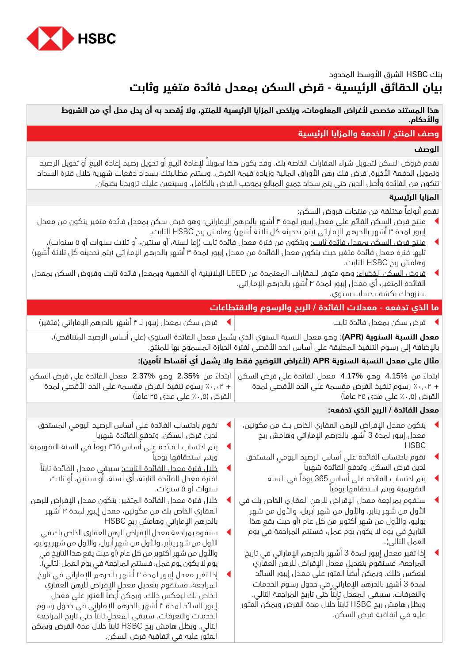

# بنك HSBC الشرق األوسط المحدود **بيان الحقائق الرئيسية - قرض السكن بمعدل فائدة متغير وثابت**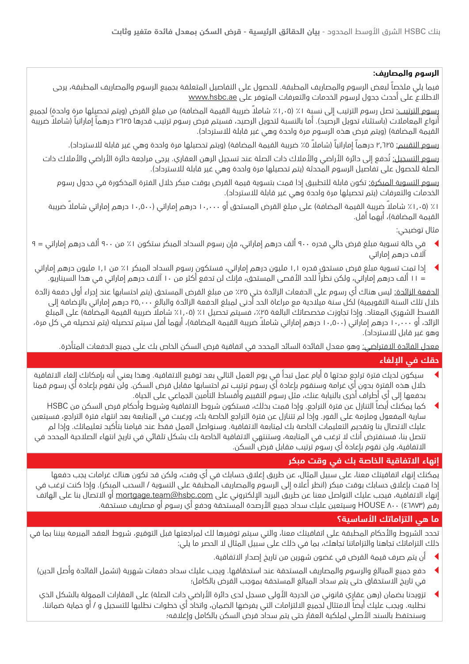## **الرسوم والمصاريف:**

فيما يلي ملخصاً لبعض الرسوم والمصاريف المطبقة. للحصول على التفاصيل المتعلقة بجميع الرسوم والمصاريف المطبقة، يرجى االطالع على أحدث جدول لرسوم الخدمات والتعرفات المتوفر على [ae.hsbc.www](http://www.hsbc.ae)

ر<u>سوم الترتيب:</u> تصل رسوم الترتيب إلى نسبة ١٪ (١,٠٥٪ شاملاً ضريبة القيمة المضافة) من مبلغ القرض (ويتم تحصيلها مرة واحدة) لجميع أنواع المعاملات (باستثناء تحويل الرصيد). أما بالنسبة لتحويل الرصيد، فسيتم فرض رسوم ترتيب قدرها 17۲۵ درهماً إماراتياً (شاملاً ضريبة القيمة المضافة) (ويتم فرض هذه الرسوم مرة واحدة وهي غير قابلة للاسترداد).

رسوم التقييم: ٢,٦٢٥ درهماً إماراتياً (شاملاً ٥٪ ضريبة القيمة المضافة) (ويتم تحصيلها مرة واحدة وهي غير قابلة للاسترداد).

<u>رسوم التسجيل:</u> تُدفع إلى دائرة الأراضي والأملاك ذات الصلة عند تسجيل الرهن العقاري. يرجى مراجعة دائرة الأراضي والأملاك ذات الصلة للحصول على تفاصيل الرسوم المحدثة (يتم تحصيلها مرة واحدة وهي غير قابلة للاسترداد).

رسوم التسوية المبكرة: تكون قابلة للتطبيق إذا قمت بتسوية قيمة القرض بوقت مبكر خالل الفترة المذكورة في جدول رسوم الخدمات والتعرفات (يتم تحصيلها مرة واحدة وهي غير قابلة للاسترداد).

ا٪ (١,٠٥٪ شاملاً ضريبة القيمة المضافة) على مبلغ القرض المستحق أو ١٠,٠٠٠ درهم إماراتي (١٠,٥٠٠ درهم إماراتي شاملاً ضريبة القيمة المضافة)، أيهما أقل.

مثال توضيحي:

- t في حالة تسوية مبلغ قرض حالي قدره 900 ألف درهم إماراتي، فإن رسوم السداد المبكر ستكون ٪1 من 900 ألف درهم إماراتي = 9 آالف درهم إماراتي
- t إذا تمت تسوية مبلغ قرض مستحق قدره 1,1 مليون درهم إماراتي، فستكون رسوم السداد المبكر ٪1 من 1,1 مليون درهم إماراتي = 11 ألف درهم إماراتي، ولكن نظراً للحد األقصى المستحق، فإنك لن تدفع أكثر من 10 آالف درهم إماراتي في هذا السيناريو.

<u>الدفعة الزائدة:</u> ليس هناك أي رسوم على الدفعات الزائدة حتى ٢٥٪ من مبلغ القرض المستحق (يتم احتسابها عند إجراء أول دفعة زائدة خلال تلك السنة التقويمية) لكل سنة ميلاحية مع مراعاة الحد أدنى لمبلغ الدفعة الزائدة والبالغ ٢٥,٠٠٠ درهم إماراتي بالإضافة إلى القسط الشهري المعتاد. وإذا تجاوزت مخصصاتك البالغة ٢٥٪، فسيتم تحصيل ١٪ (٢٠،٥٪ شاملا ضريبة القيمة المضافة) على المبلغ الزائد، أو ۱۰٫۰۰۰ درهم إماراتي (۱۰٫۵۰۰ درهم إماراتي شاملاً ضريبة القيمة المضافة)، أيهما أقل سيتم تحصيله (يتم تحصيله في كل مرة، وهو غير قابل للاسترداد).

<u>معدل الفائدة الافتراضي:</u> وهو معدل الفائدة السائد المحدد في اتفاقية قرض السكن الخاص بك على جميع الدفعات المتأخرة.

# **حقك في اإللغاء**

- سيكون لديك فترة تراجع مدتها 0 أيام عمل تبدأ في يوم العمل التالي بعد توقيع الاتفاقية. وهذا يعني أنه بإمكانك إلغاء الاتفاقية خالل هذه الفترة بدون أي غرامة وسنقوم بإعادة أي رسوم ترتيب تم احتسابها مقابل قرض السكن. ولن نقوم بإعادة أي رسوم قمنا بدفعها إلى أي أطراف أخرى بالنيابة عنك، مثل رسوم التقييم وأقساط التأمين الجماعي على الحياة.
- <sup>t</sup> كما يمكنك أيضاً التنازل عن فترة التراجع. وإذا قمت بذلك، فستكون شروط االتفاقية وشروط وأحكام قرض السكن من HSBC سارية المفعول وملزمة على الفور. وإذا لم تتنازل عن فترة التراجع الخاصة بك، ورغبت في المتابعة بعد انتهاء فترة التراجع، فسيتعين عليك االتصال بنا وتقديم التعليمات الخاصة بك لمتابعة االتفاقية. وسنواصل العمل فقط عند قيامنا بتأكيد تعليماتك. وإذا لم تتصل بنا، فسنفترض أنك ال ترغب في المتابعة، وستنتهي االتفاقية الخاصة بك بشكل تلقائي في تاريخ انتهاء الصالحية المحدد في االتفاقية، ولن نقوم بإعادة أي رسوم ترتيب مقابل قرض السكن.

# **إنهاء االتفاقية الخاصة بك في وقت مبكر**

يمكنك إنهاء اتفاقيتك معنا، على سبيل المثال، عن طريق إغالق حسابك في أي وقت، ولكن قد تكون هناك غرامات يجب دفعها إذا قمت بإغلاق حسابك بوقت مبكر (انظر أعلاه إلى الرسوم والمصاريف المطبقة على التسوية / السحب المبكر). وإذا كنت ترغب في إنهاء الاتفاقية، فيجب عليك التواصل معنا عن طريق البريد الإلكتروني على mortgage.team@hsbc.com أو الاتصال بنا على الهاتف رقم (٤٦٨٧٣) +٨٠ HOUSE وسيتعين عليك سداد جميع الأرصدة المستحقة ودفع أي رسوم أو مصاريف مستحقة.

# **ما هي التزاماتك األساسية؟**

تحدد الشروط واألحكام المطبقة على اتفاقيتك معنا، والتي سيتم توفيرها لك لمراجعتها قبل التوقيع، شروط العقد المبرمة بيننا بما في ذلك التزاماتك تجاهنا والتزاماتنا تجاهك، بما في ذلك على سبيل المثال ال الحصر ما يلي:

- ان يتم صرف قيمة القرض في غضون شهرين من تاريخ إصدار الاتفاقية.
- دفع جميع المبالغ والرسوم والمصاريف المستحقة عند استحقاقها. ويجب عليك سداد دفعات شهرية (تشمل الفائدة وأصل الدين) في تاريخ االستحقاق حتى يتم سداد المبالغ المستحقة بموجب القرض بالكامل؛
- تزويدنا بضمان (رهن عقاري قانوني من الدرجة الأولى مسجل لدى دائرة الأراضي ذات الصلة) على العقارات الممولة بالشكل الذي نطلبه. ويجب عليك أيضاً االمتثال لجميع االلتزامات التي يفرضها الضمان، واتخاذ أي خطوات نطلبها للتسجيل و / أو حماية ضماننا. وسنحتفظ بالسند الأصلي لملكية العقار حتى يتم سداد قرض السكن بالكامل وإغلاقه؛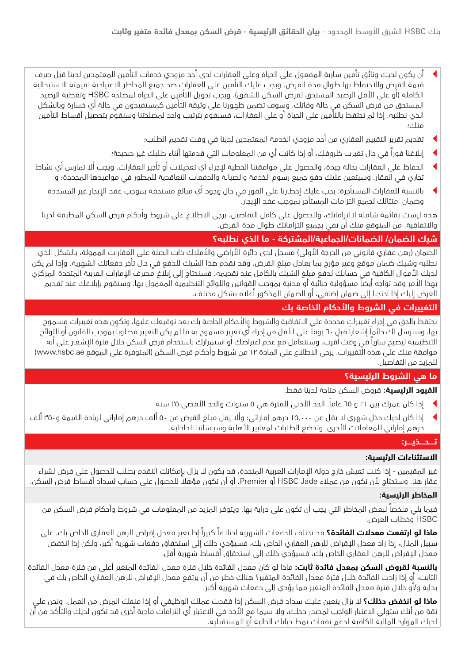- أن يكون لديك وثائق تأمين سارية المفعول على الحياة وعلى العقارات لدى أحد مزودي خدمات التأمين المعتمدين لدينا قبل صرف قيمة القرض واالحتفاظ بها طوال مدة القرض. ويجب عليك التأمين على العقارات ضد جميع المخاطر االعتيادية لقيمته االستبدالية الكاملة (أو على الأقل الرصيد المستحق لقرض السكن للشقق). ويجب تحويل التأمين على الحياة لمصلحة HSBC وتغطية الرصيد المستحق من قرض السكن في حالة وفاتك. وسوف تضمن ظهورنا على وثيقة التأمين كمستفيدون في حالة أي خسارة وبالشكل الذي نطلبه. إذا لم تحتفظ بالتأمين على الحياة أو على العقارات، فسنقوم بترتيب واحد لمصلحتنا وسنقوم بتحصيل أقساط التأمين منك؛
	- t تقديم تقرير التقييم العقاري من أحد مزودي الخدمة المعتمدين لدينا في وقت تقديم الطلب؛
	- <sup>t</sup> إبالغنا فوراً في حال تغيرت ظروفك، أو إذا كانت أي من المعلومات التي قدمتها أثناء طلبك غير صحيحة؛
- الحفاظ على العقارات بحالة جيدة، والحصول على موافقتنا الخطية لإجراء أي تعديلات أو تأجير العقارات. ويجب ألا تمارس أي نشاط تجاري في العقار. وسيتعين عليك دفع جميع رسوم الخدمة والصيانة والدفعات التعاقدية للمطور في مواعيدها المحددة؛ و
	- t بالنسبة للعقارات المستأجرة: يجب عليك إخطارنا على الفور في حال وجود أي مبالغ مستحقة بموجب عقد اإليجار غير المسددة وضمان امتثالك لجميع التزامات المستأجر بموجب عقد اإليجار.

هذه ليست بقائمة شاملة اللتزاماتك، وللحصول على كامل التفاصيل، يرجى االطالع على شروط وأحكام قرض السكن المطبقة لدينا واالتفاقية. من المتوقع منك أن تفي بجميع التزاماتك طوال مدة القرض.

# **شيك الضمان/ الضمانات/الجماعية/المشتركة - ما الذي نطلبه؟**

الضمان (رهن عقاري قانوني من الدرجة الأولى) مسجل لدى دائرة الأراضي والأملاك ذات الصلة على العقارات الممولة، بالشكل الذي نطلبه وشيك ضمان موقع وغير مؤرخ بما يعادل مبلغ القرض. وقد نقدم هذا الشيك للدفع في حال تأخر دفعاتك الشهرية. وإذا لم يكن لديك األموال الكافية في حسابك لدفع مبلغ الشيك بالكامل عند تقديمه، فسنحتاج إلى إبالغ مصرف اإلمارات العربية المتحدة المركزي بهذا الأمر وقد تواجه أيضاً مسؤولية جنائية أو مدنية بموجب القوانين واللوائح التنظيمية المعمول بها. وسنقوم بإبلاغك عند تقديم العرض إليك إذا احتجنا إلى ضمان إضافي، أو الضمان المذكور أعاله بشكل مختلف.

# **التغييرات في الشروط واألحكام الخاصة بك**

نحتفظ بالحق في إجراء تغييرات محددة على الاتفاقية والشروط والأحكام الخاصة بك بعد توقيعك عليها، وتكون هذه تغييرات مسموح بها. وسنرسل لكَ دائماً إشعاراً قبل ٦٠ يوماً على الأقل من إجراء أي تغيير مسموح به ما لم يكن التغيير مطلوباً بموجب القانون أو اللوائح التنظيمية ليصبح سارياً في وقت أقرب. وسنتعامل مع عدم اعتراضك أو استمرارك باستخدام قرض السكن خالل فترة اإلشعار على أنه موافقة منك على هذه التغييرات. يرجى الاطلاع على المادة ١٢ من شروط وأحكام قرض السكن (المتوفرة على الموقع www.hsbc.ae) للمزيد من التفاصيل.

# **ما هي الشروط الرئيسية؟**

**القيود الرئيسية:** قروض السكن متاحة لدينا فقط:

- <sup>t</sup> إذا كان عمرك بين 21 و 65 عاما.ً الحد األدنى للفترة هي 5 سنوات والحد األقصى 25 سنة
- t إذا كان لديك دخل شهري ال يقل عن 15,000 درهم إماراتي؛ وأال يقل مبلغ القرض عن 50 ألف درهم إماراتي لزيادة القيمة و350 ألف درهم إماراتي للمعامالت األخرى. وتخضع الطلبات لمعايير األهلية وسياساتنا الداخلية.

### **تــــحــــذيــــر:**

### **االستثناءات الرئيسية:**

غير المقيمين - إذا كنت تعيش خارج دولة الإمارات العربية المتحدة، قد يكون لا يزال بإمكانك التقدم بطلب للحصول على قرض لشراء عقار هنا. وستحتاج ألن تكون من عمالء Jade HSBC أو Premier ً ، أو أن تكون مؤهال للحصول على حساب لسداد أقساط قرض السكن.

### **المخاطر الرئيسية:**

فيما يلي ملخصاً لبعض المخاطر التي يجب أن تكون على دراية بها. ويتوفر المزيد من المعلومات في شروط وأحكام قرض السكن من HSBC وخطاب العرض.

**ماذا لو ارتفعت معدالت الفائدة؟** قد تختلف الدفعات الشهرية اختالفاً كبيراً إذا تغير معدل إقراض الرهن العقاري الخاص بك. على سبيل المثال، إذا زاد معدل اإلقراض للرهن العقاري الخاص بك، فسيؤدي ذلك إلى استحقاق دفعات شهرية أكبر، ولكن إذا انخفض معدل اإلقراض للرهن العقاري الخاص بك، فسيؤدي ذلك إلى استحقاق أقساط شهرية أقل.

**بالنسبة لقروض السكن بمعدل فائدة ثابت:** ماذا لو كان معدل الفائدة خالل فترة معدل الفائدة المتغير أعلى من فترة معدل الفائدة الثابت، أو إذا زادت الفائدة خالل فترة معدل الفائدة المتغير؟ هناك خطر من أن يرتفع معدل اإلقراض للرهن العقاري الخاص بك في بداية و/أو خالل فترة معدل الفائدة المتغير مما يؤدي إلى دفعات شهرية أكبر.

**ماذا لو انخفض دخلك؟** ال يزال يتعين عليك سداد قرض السكن إذا فقدت عملك الوظيفي أو إذا منعك المرض من العمل. ونحن على ثقة من أنك ستولي االعتبار الواجب لمصدر دخلك، وال سيما مع األخذ في االعتبار أي التزامات مادية أخرى قد تكون لديك والتأكد من أن لديك الموارد المالية الكافية لدعم نفقات نمط حياتك الحالية أو المستقبلية.